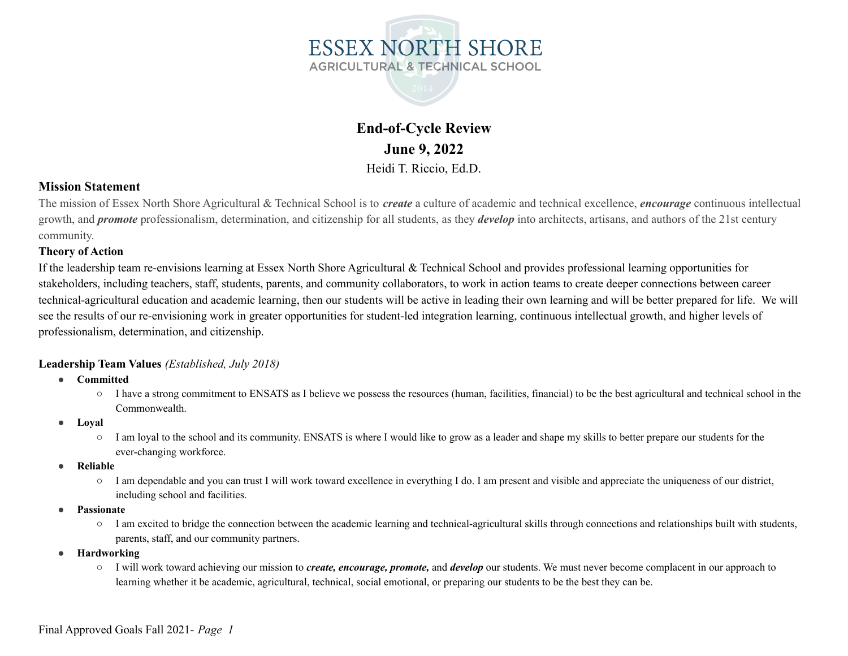



### **Mission Statement**

The mission of Essex North Shore Agricultural & Technical School is to *create* a culture of academic and technical excellence, *encourage* continuous intellectual growth, and *promote* professionalism, determination, and citizenship for all students, as they *develop* into architects, artisans, and authors of the 21st century community.

#### **Theory of Action**

If the leadership team re-envisions learning at Essex North Shore Agricultural  $\&$  Technical School and provides professional learning opportunities for stakeholders, including teachers, staff, students, parents, and community collaborators, to work in action teams to create deeper connections between career technical-agricultural education and academic learning, then our students will be active in leading their own learning and will be better prepared for life. We will see the results of our re-envisioning work in greater opportunities for student-led integration learning, continuous intellectual growth, and higher levels of professionalism, determination, and citizenship.

#### **Leadership Team Values** *(Established, July 2018)*

- **● Committed**
	- I have a strong commitment to ENSATS as I believe we possess the resources (human, facilities, financial) to be the best agricultural and technical school in the Commonwealth.
- **● Loyal**
	- I am loyal to the school and its community. ENSATS is where I would like to grow as a leader and shape my skills to better prepare our students for the ever-changing workforce.
- **● Reliable**
	- I am dependable and you can trust I will work toward excellence in everything I do. I am present and visible and appreciate the uniqueness of our district, including school and facilities.
- **● Passionate**
	- I am excited to bridge the connection between the academic learning and technical-agricultural skills through connections and relationships built with students, parents, staff, and our community partners.
- **● Hardworking**
	- I will work toward achieving our mission to *create, encourage, promote,* and *develop* our students. We must never become complacent in our approach to learning whether it be academic, agricultural, technical, social emotional, or preparing our students to be the best they can be.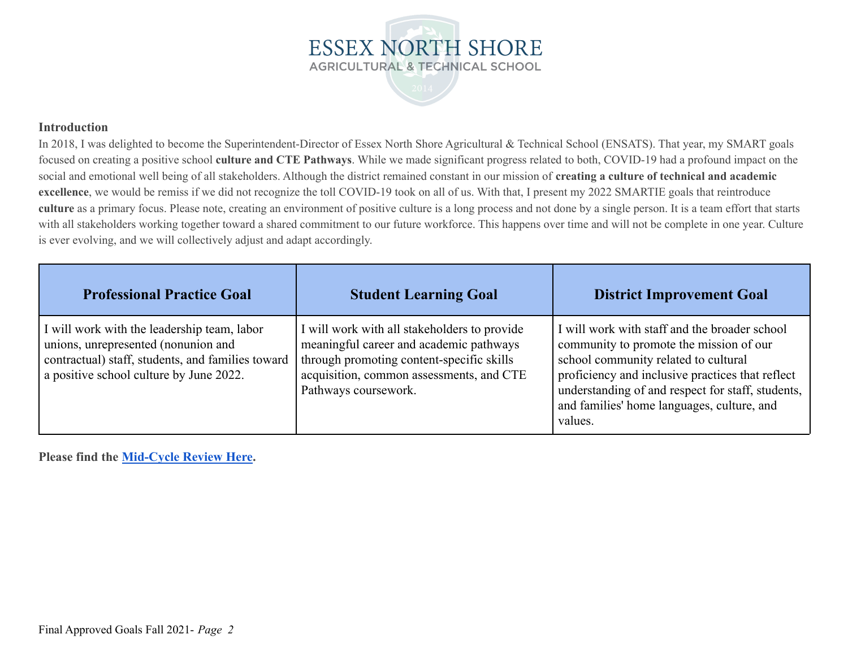

#### **Introduction**

In 2018, I was delighted to become the Superintendent-Director of Essex North Shore Agricultural & Technical School (ENSATS). That year, my SMART goals focused on creating a positive school **culture and CTE Pathways**. While we made significant progress related to both, COVID-19 had a profound impact on the social and emotional well being of all stakeholders. Although the district remained constant in our mission of **creating a culture of technical and academic excellence**, we would be remiss if we did not recognize the toll COVID-19 took on all of us. With that, I present my 2022 SMARTIE goals that reintroduce **culture** as a primary focus. Please note, creating an environment of positive culture is a long process and not done by a single person. It is a team effort that starts with all stakeholders working together toward a shared commitment to our future workforce. This happens over time and will not be complete in one year. Culture is ever evolving, and we will collectively adjust and adapt accordingly.

| <b>Professional Practice Goal</b>                                                                                                                                                  | <b>Student Learning Goal</b>                                                                                                                                                                             | <b>District Improvement Goal</b>                                                                                                                                                                                                                                                                   |
|------------------------------------------------------------------------------------------------------------------------------------------------------------------------------------|----------------------------------------------------------------------------------------------------------------------------------------------------------------------------------------------------------|----------------------------------------------------------------------------------------------------------------------------------------------------------------------------------------------------------------------------------------------------------------------------------------------------|
| I will work with the leadership team, labor<br>unions, unrepresented (nonunion and<br>contractual) staff, students, and families toward<br>a positive school culture by June 2022. | I will work with all stakeholders to provide<br>meaningful career and academic pathways<br>through promoting content-specific skills<br>acquisition, common assessments, and CTE<br>Pathways coursework. | I will work with staff and the broader school<br>community to promote the mission of our<br>school community related to cultural<br>proficiency and inclusive practices that reflect<br>understanding of and respect for staff, students,<br>and families' home languages, culture, and<br>values. |

**Please find the [Mid-Cycle Review Here](https://docs.google.com/document/d/1-0t1pa3Sf2fRnUfG74EjjPpDE30U6tOuWnf3rMLR7Vw/edit).**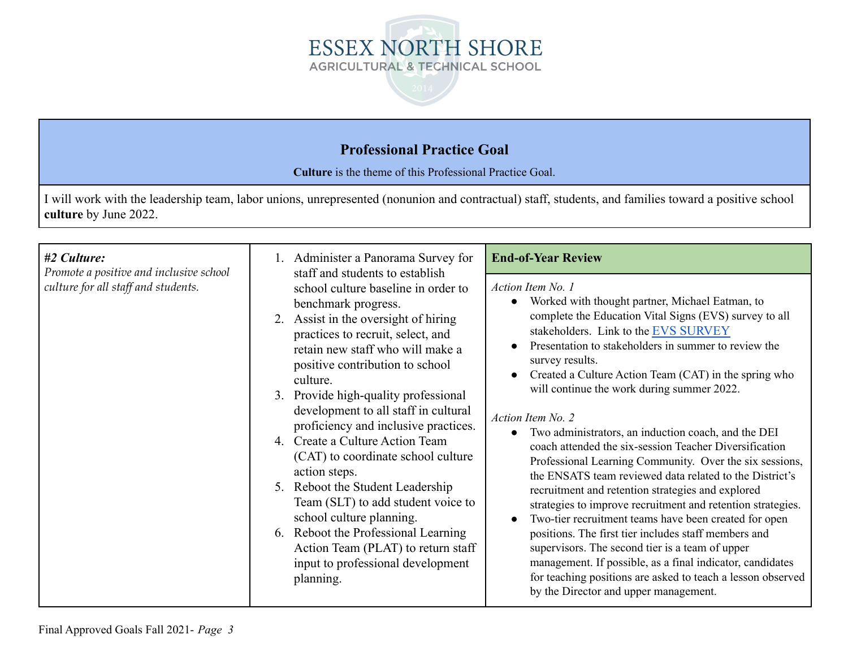

# **Professional Practice Goal**

**Culture** is the theme of this Professional Practice Goal.

I will work with the leadership team, labor unions, unrepresented (nonunion and contractual) staff, students, and families toward a positive school **culture** by June 2022.

| #2 Culture:<br>Promote a positive and inclusive school | Administer a Panorama Survey for<br>staff and students to establish                                                                                                                                                                                                                                                                                                                                                                                                                                                                                                                                                                                                               | <b>End-of-Year Review</b>                                                                                                                                                                                                                                                                                                                                                                                                                                                                                                                                                                                                                                                                                                                                                                                                                                                                                                                                                                                                                                                         |
|--------------------------------------------------------|-----------------------------------------------------------------------------------------------------------------------------------------------------------------------------------------------------------------------------------------------------------------------------------------------------------------------------------------------------------------------------------------------------------------------------------------------------------------------------------------------------------------------------------------------------------------------------------------------------------------------------------------------------------------------------------|-----------------------------------------------------------------------------------------------------------------------------------------------------------------------------------------------------------------------------------------------------------------------------------------------------------------------------------------------------------------------------------------------------------------------------------------------------------------------------------------------------------------------------------------------------------------------------------------------------------------------------------------------------------------------------------------------------------------------------------------------------------------------------------------------------------------------------------------------------------------------------------------------------------------------------------------------------------------------------------------------------------------------------------------------------------------------------------|
| culture for all staff and students.                    | school culture baseline in order to<br>benchmark progress.<br>2. Assist in the oversight of hiring<br>practices to recruit, select, and<br>retain new staff who will make a<br>positive contribution to school<br>culture.<br>3. Provide high-quality professional<br>development to all staff in cultural<br>proficiency and inclusive practices.<br>4. Create a Culture Action Team<br>(CAT) to coordinate school culture<br>action steps.<br>5. Reboot the Student Leadership<br>Team (SLT) to add student voice to<br>school culture planning.<br>6. Reboot the Professional Learning<br>Action Team (PLAT) to return staff<br>input to professional development<br>planning. | Action Item No. 1<br>Worked with thought partner, Michael Eatman, to<br>complete the Education Vital Signs (EVS) survey to all<br>stakeholders. Link to the EVS SURVEY<br>Presentation to stakeholders in summer to review the<br>survey results.<br>Created a Culture Action Team (CAT) in the spring who<br>will continue the work during summer 2022.<br>Action Item No. 2<br>Two administrators, an induction coach, and the DEI<br>coach attended the six-session Teacher Diversification<br>Professional Learning Community. Over the six sessions,<br>the ENSATS team reviewed data related to the District's<br>recruitment and retention strategies and explored<br>strategies to improve recruitment and retention strategies.<br>Two-tier recruitment teams have been created for open<br>positions. The first tier includes staff members and<br>supervisors. The second tier is a team of upper<br>management. If possible, as a final indicator, candidates<br>for teaching positions are asked to teach a lesson observed<br>by the Director and upper management. |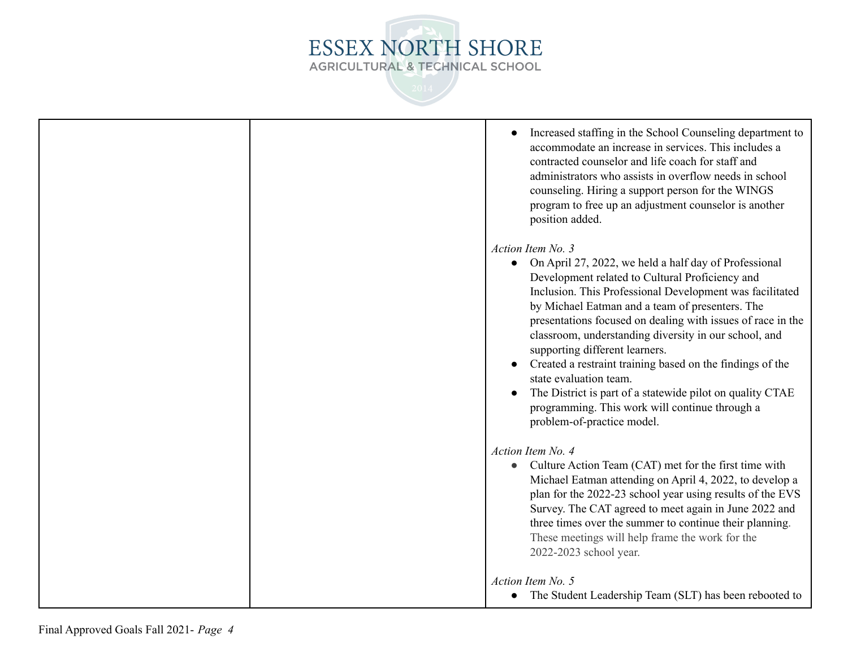

| Increased staffing in the School Counseling department to<br>accommodate an increase in services. This includes a<br>contracted counselor and life coach for staff and<br>administrators who assists in overflow needs in school<br>counseling. Hiring a support person for the WINGS<br>program to free up an adjustment counselor is another<br>position added.                                                                                                                                                                                                                                                                                       |
|---------------------------------------------------------------------------------------------------------------------------------------------------------------------------------------------------------------------------------------------------------------------------------------------------------------------------------------------------------------------------------------------------------------------------------------------------------------------------------------------------------------------------------------------------------------------------------------------------------------------------------------------------------|
| Action Item No. 3<br>On April 27, 2022, we held a half day of Professional<br>$\bullet$<br>Development related to Cultural Proficiency and<br>Inclusion. This Professional Development was facilitated<br>by Michael Eatman and a team of presenters. The<br>presentations focused on dealing with issues of race in the<br>classroom, understanding diversity in our school, and<br>supporting different learners.<br>Created a restraint training based on the findings of the<br>state evaluation team.<br>The District is part of a statewide pilot on quality CTAE<br>programming. This work will continue through a<br>problem-of-practice model. |
| Action Item No. 4<br>Culture Action Team (CAT) met for the first time with<br>Michael Eatman attending on April 4, 2022, to develop a<br>plan for the 2022-23 school year using results of the EVS<br>Survey. The CAT agreed to meet again in June 2022 and<br>three times over the summer to continue their planning.<br>These meetings will help frame the work for the<br>2022-2023 school year.                                                                                                                                                                                                                                                     |
| Action Item No. 5<br>The Student Leadership Team (SLT) has been rebooted to<br>$\bullet$                                                                                                                                                                                                                                                                                                                                                                                                                                                                                                                                                                |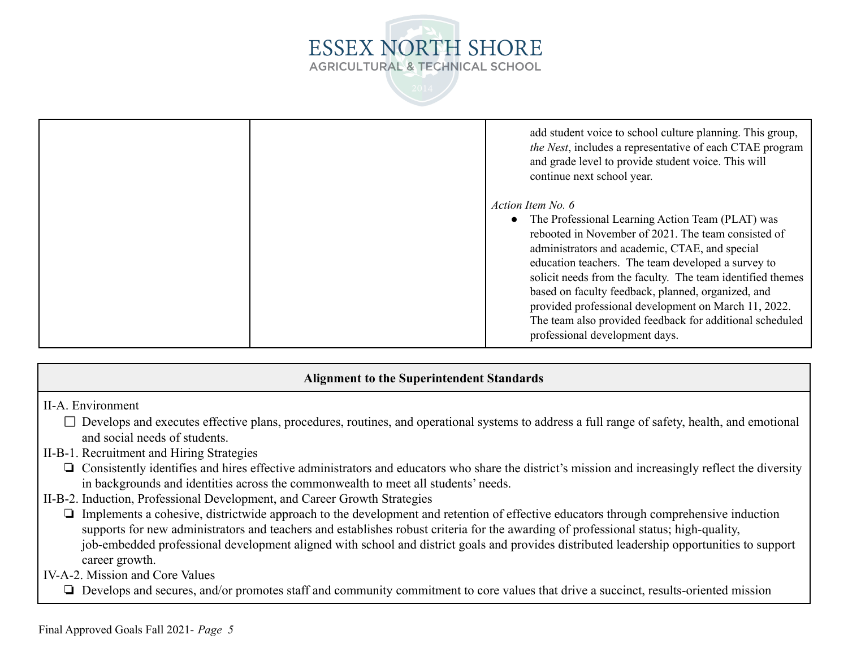

| add student voice to school culture planning. This group,<br>the Nest, includes a representative of each CTAE program<br>and grade level to provide student voice. This will<br>continue next school year.                                                                                                                                                                                                                                                                                                       |  |
|------------------------------------------------------------------------------------------------------------------------------------------------------------------------------------------------------------------------------------------------------------------------------------------------------------------------------------------------------------------------------------------------------------------------------------------------------------------------------------------------------------------|--|
| Action Item No. 6<br>• The Professional Learning Action Team (PLAT) was<br>rebooted in November of 2021. The team consisted of<br>administrators and academic, CTAE, and special<br>education teachers. The team developed a survey to<br>solicit needs from the faculty. The team identified themes<br>based on faculty feedback, planned, organized, and<br>provided professional development on March 11, 2022.<br>The team also provided feedback for additional scheduled<br>professional development days. |  |

### **Alignment to the Superintendent Standards**

- II-A. Environment
	- $\square$  Develops and executes effective plans, procedures, routines, and operational systems to address a full range of safety, health, and emotional and social needs of students.
- II-B-1. Recruitment and Hiring Strategies
	- ❏ Consistently identifies and hires effective administrators and educators who share the district's mission and increasingly reflect the diversity in backgrounds and identities across the commonwealth to meet all students' needs.
- II-B-2. Induction, Professional Development, and Career Growth Strategies
	- ❏ Implements a cohesive, districtwide approach to the development and retention of effective educators through comprehensive induction supports for new administrators and teachers and establishes robust criteria for the awarding of professional status; high-quality, job-embedded professional development aligned with school and district goals and provides distributed leadership opportunities to support career growth.
- IV-A-2. Mission and Core Values
	- ❏ Develops and secures, and/or promotes staff and community commitment to core values that drive a succinct, results-oriented mission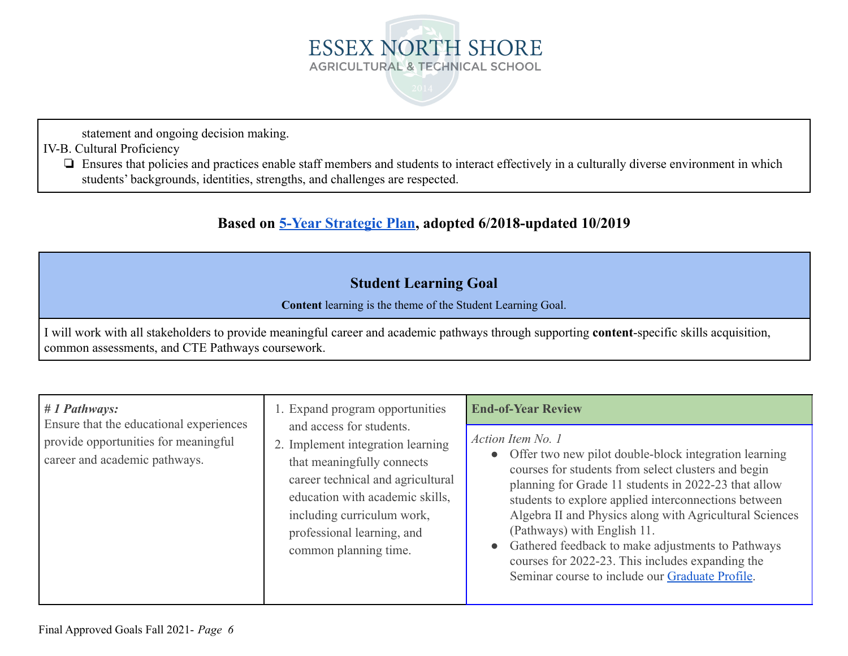

statement and ongoing decision making.

IV-B. Cultural Proficiency

❏ Ensures that policies and practices enable staff members and students to interact effectively in a culturally diverse environment in which students' backgrounds, identities, strengths, and challenges are respected.

# **Based on 5-Year [Strategic](https://docs.google.com/document/d/120O-1KLK_mqMsOgbevblllkW6fed3jQo1V-BGjF7QnE/edit?usp=sharing) Plan, adopted 6/2018-updated 10/2019**

# **Student Learning Goal**

**Content** learning is the theme of the Student Learning Goal.

I will work with all stakeholders to provide meaningful career and academic pathways through supporting **content**-specific skills acquisition, common assessments, and CTE Pathways coursework.

| $# 1$ Pathways:<br>Ensure that the educational experiences<br>provide opportunities for meaningful<br>career and academic pathways. | 1. Expand program opportunities<br>and access for students.<br>2. Implement integration learning<br>that meaningfully connects<br>career technical and agricultural<br>education with academic skills,<br>including curriculum work,<br>professional learning, and<br>common planning time. | <b>End-of-Year Review</b><br>Action Item No. 1<br>• Offer two new pilot double-block integration learning<br>courses for students from select clusters and begin<br>planning for Grade 11 students in 2022-23 that allow<br>students to explore applied interconnections between<br>Algebra II and Physics along with Agricultural Sciences<br>(Pathways) with English 11.<br>Gathered feedback to make adjustments to Pathways<br>$\bullet$<br>courses for 2022-23. This includes expanding the<br>Seminar course to include our Graduate Profile. |
|-------------------------------------------------------------------------------------------------------------------------------------|---------------------------------------------------------------------------------------------------------------------------------------------------------------------------------------------------------------------------------------------------------------------------------------------|-----------------------------------------------------------------------------------------------------------------------------------------------------------------------------------------------------------------------------------------------------------------------------------------------------------------------------------------------------------------------------------------------------------------------------------------------------------------------------------------------------------------------------------------------------|
|-------------------------------------------------------------------------------------------------------------------------------------|---------------------------------------------------------------------------------------------------------------------------------------------------------------------------------------------------------------------------------------------------------------------------------------------|-----------------------------------------------------------------------------------------------------------------------------------------------------------------------------------------------------------------------------------------------------------------------------------------------------------------------------------------------------------------------------------------------------------------------------------------------------------------------------------------------------------------------------------------------------|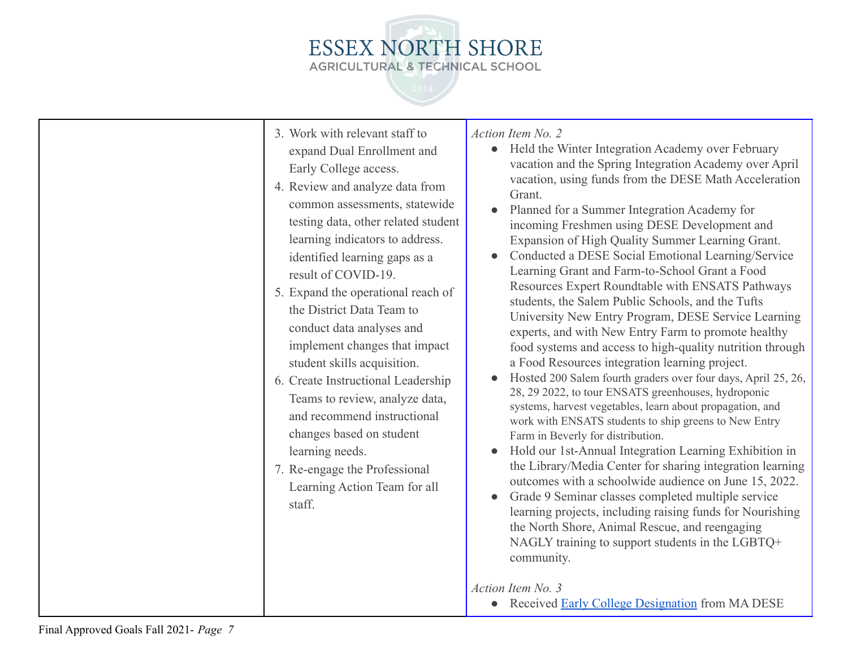# ESSEX NORTH SHORE AGRICULTURAL & TECHNICAL SCHOOL

| 3. Work with relevant staff to<br>expand Dual Enrollment and<br>Early College access.<br>4. Review and analyze data from<br>common assessments, statewide<br>testing data, other related student<br>learning indicators to address.<br>identified learning gaps as a<br>result of COVID-19.<br>5. Expand the operational reach of<br>the District Data Team to<br>conduct data analyses and<br>implement changes that impact<br>student skills acquisition.<br>6. Create Instructional Leadership<br>Teams to review, analyze data,<br>and recommend instructional<br>changes based on student<br>learning needs.<br>7. Re-engage the Professional<br>Learning Action Team for all<br>staff. | Action Item No. 2<br>Held the Winter Integration Academy over February<br>$\bullet$<br>vacation and the Spring Integration Academy over April<br>vacation, using funds from the DESE Math Acceleration<br>Grant.<br>Planned for a Summer Integration Academy for<br>incoming Freshmen using DESE Development and<br>Expansion of High Quality Summer Learning Grant.<br>Conducted a DESE Social Emotional Learning/Service<br>Learning Grant and Farm-to-School Grant a Food<br>Resources Expert Roundtable with ENSATS Pathways<br>students, the Salem Public Schools, and the Tufts<br>University New Entry Program, DESE Service Learning<br>experts, and with New Entry Farm to promote healthy<br>food systems and access to high-quality nutrition through<br>a Food Resources integration learning project.<br>Hosted 200 Salem fourth graders over four days, April 25, 26,<br>28, 29 2022, to tour ENSATS greenhouses, hydroponic<br>systems, harvest vegetables, learn about propagation, and<br>work with ENSATS students to ship greens to New Entry<br>Farm in Beverly for distribution.<br>Hold our 1st-Annual Integration Learning Exhibition in<br>the Library/Media Center for sharing integration learning<br>outcomes with a schoolwide audience on June 15, 2022.<br>Grade 9 Seminar classes completed multiple service<br>learning projects, including raising funds for Nourishing<br>the North Shore, Animal Rescue, and reengaging<br>NAGLY training to support students in the LGBTQ+<br>community.<br>Action Item No. 3<br>Received <b>Early College Designation</b> from MA DESE |
|----------------------------------------------------------------------------------------------------------------------------------------------------------------------------------------------------------------------------------------------------------------------------------------------------------------------------------------------------------------------------------------------------------------------------------------------------------------------------------------------------------------------------------------------------------------------------------------------------------------------------------------------------------------------------------------------|-------------------------------------------------------------------------------------------------------------------------------------------------------------------------------------------------------------------------------------------------------------------------------------------------------------------------------------------------------------------------------------------------------------------------------------------------------------------------------------------------------------------------------------------------------------------------------------------------------------------------------------------------------------------------------------------------------------------------------------------------------------------------------------------------------------------------------------------------------------------------------------------------------------------------------------------------------------------------------------------------------------------------------------------------------------------------------------------------------------------------------------------------------------------------------------------------------------------------------------------------------------------------------------------------------------------------------------------------------------------------------------------------------------------------------------------------------------------------------------------------------------------------------------------------------------------------------------------------------------|
|                                                                                                                                                                                                                                                                                                                                                                                                                                                                                                                                                                                                                                                                                              |                                                                                                                                                                                                                                                                                                                                                                                                                                                                                                                                                                                                                                                                                                                                                                                                                                                                                                                                                                                                                                                                                                                                                                                                                                                                                                                                                                                                                                                                                                                                                                                                             |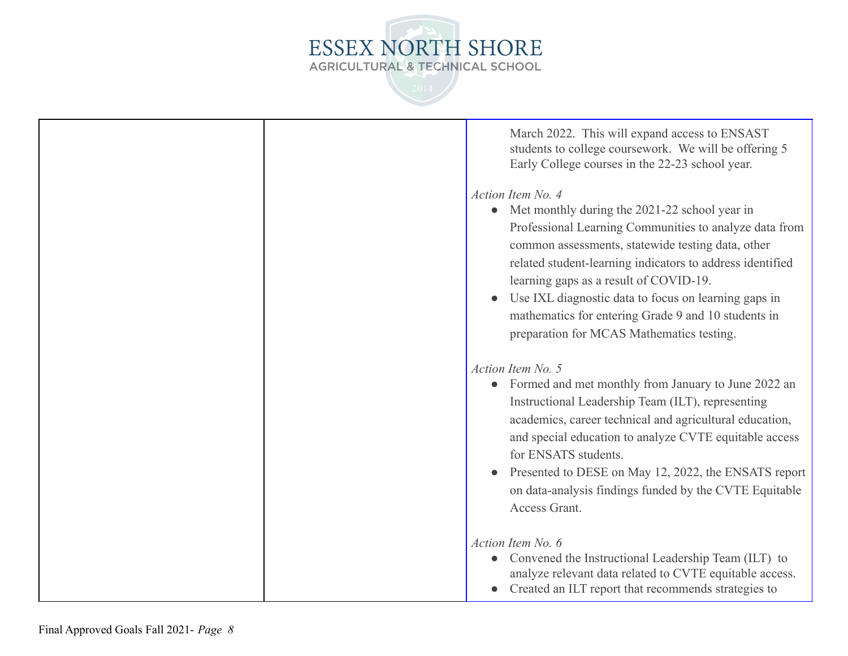

| March 2022. This will expand access to ENSAST<br>students to college coursework. We will be offering 5<br>Early College courses in the 22-23 school year.<br>Action Item No. 4<br>• Met monthly during the 2021-22 school year in<br>Professional Learning Communities to analyze data from<br>common assessments, statewide testing data, other<br>related student-learning indicators to address identified<br>learning gaps as a result of COVID-19.<br>Use IXL diagnostic data to focus on learning gaps in<br>mathematics for entering Grade 9 and 10 students in |
|------------------------------------------------------------------------------------------------------------------------------------------------------------------------------------------------------------------------------------------------------------------------------------------------------------------------------------------------------------------------------------------------------------------------------------------------------------------------------------------------------------------------------------------------------------------------|
| preparation for MCAS Mathematics testing.                                                                                                                                                                                                                                                                                                                                                                                                                                                                                                                              |
| Action Item No. 5<br>Formed and met monthly from January to June 2022 an<br>Instructional Leadership Team (ILT), representing<br>academics, career technical and agricultural education,<br>and special education to analyze CVTE equitable access<br>for ENSATS students.<br>Presented to DESE on May 12, 2022, the ENSATS report                                                                                                                                                                                                                                     |
| on data-analysis findings funded by the CVTE Equitable<br>Access Grant.                                                                                                                                                                                                                                                                                                                                                                                                                                                                                                |
| Action Item No. 6<br>Convened the Instructional Leadership Team (ILT) to<br>analyze relevant data related to CVTE equitable access.<br>Created an ILT report that recommends strategies to                                                                                                                                                                                                                                                                                                                                                                             |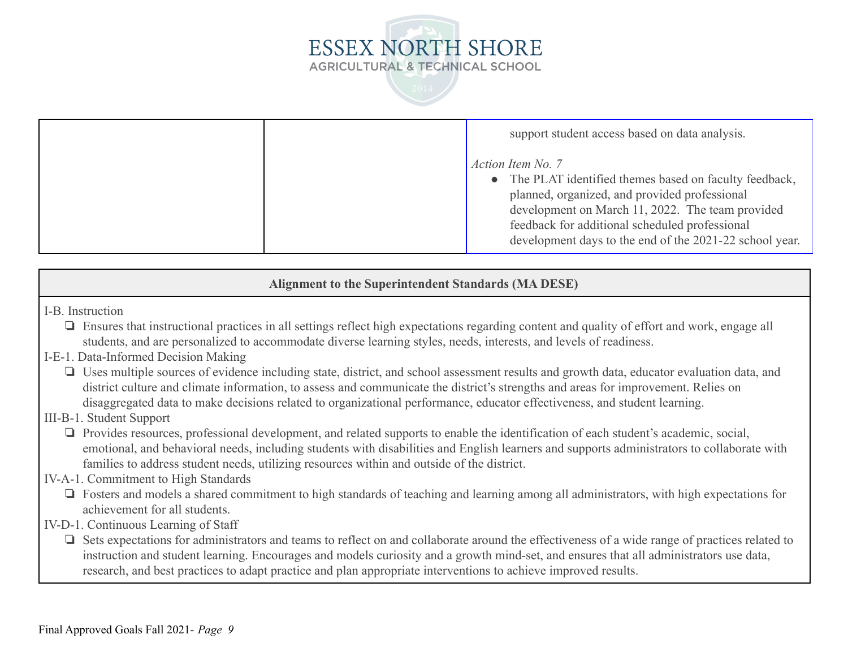



support student access based on data analysis. *Action Item No. 7* • The PLAT identified themes based on faculty feedback, planned, organized, and provided professional development on March 11, 2022. The team provided feedback for additional scheduled professional development days to the end of the 2021-22 school year.

**Alignment to the Superintendent Standards (MA DESE)**

I-B. Instruction

❏ Ensures that instructional practices in all settings reflect high expectations regarding content and quality of effort and work, engage all students, and are personalized to accommodate diverse learning styles, needs, interests, and levels of readiness.

## I-E-1. Data-Informed Decision Making

❏ Uses multiple sources of evidence including state, district, and school assessment results and growth data, educator evaluation data, and district culture and climate information, to assess and communicate the district's strengths and areas for improvement. Relies on disaggregated data to make decisions related to organizational performance, educator effectiveness, and student learning.

### III-B-1. Student Support

❏ Provides resources, professional development, and related supports to enable the identification of each student's academic, social, emotional, and behavioral needs, including students with disabilities and English learners and supports administrators to collaborate with families to address student needs, utilizing resources within and outside of the district.

### IV-A-1. Commitment to High Standards

❏ Fosters and models a shared commitment to high standards of teaching and learning among all administrators, with high expectations for achievement for all students.

### IV-D-1. Continuous Learning of Staff

❏ Sets expectations for administrators and teams to reflect on and collaborate around the effectiveness of a wide range of practices related to instruction and student learning. Encourages and models curiosity and a growth mind-set, and ensures that all administrators use data, research, and best practices to adapt practice and plan appropriate interventions to achieve improved results.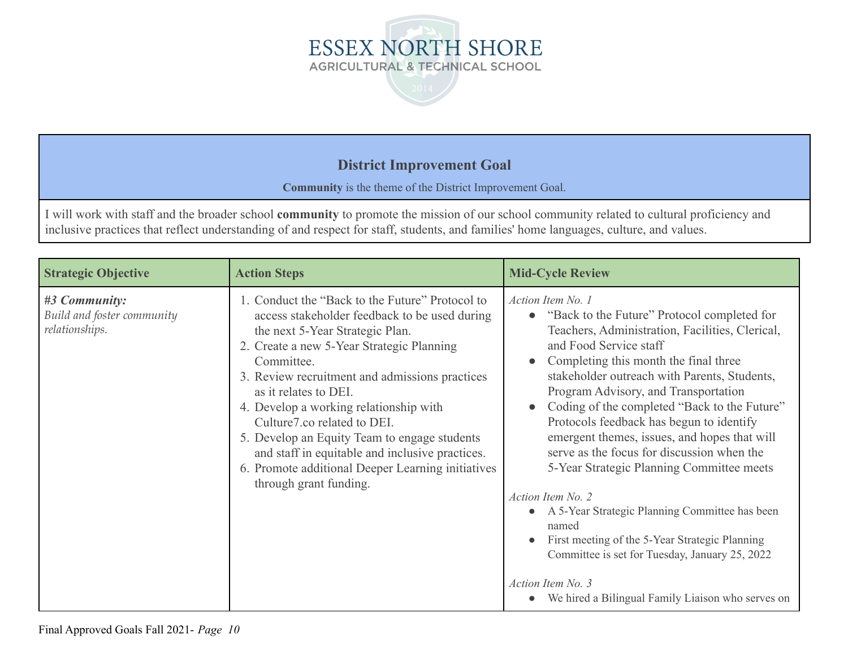



**Community** is the theme of the District Improvement Goal.

I will work with staff and the broader school **community** to promote the mission of our school community related to cultural proficiency and inclusive practices that reflect understanding of and respect for staff, students, and families' home languages, culture, and values.

| <b>Strategic Objective</b>                                    | <b>Action Steps</b>                                                                                                                                                                                                                                                                                                                                                                                                                                                                                                                  | <b>Mid-Cycle Review</b>                                                                                                                                                                                                                                                                                                                                                                                                                                                                                                                                                                                                                                                                                                                                                                          |
|---------------------------------------------------------------|--------------------------------------------------------------------------------------------------------------------------------------------------------------------------------------------------------------------------------------------------------------------------------------------------------------------------------------------------------------------------------------------------------------------------------------------------------------------------------------------------------------------------------------|--------------------------------------------------------------------------------------------------------------------------------------------------------------------------------------------------------------------------------------------------------------------------------------------------------------------------------------------------------------------------------------------------------------------------------------------------------------------------------------------------------------------------------------------------------------------------------------------------------------------------------------------------------------------------------------------------------------------------------------------------------------------------------------------------|
| #3 Community:<br>Build and foster community<br>relationships. | 1. Conduct the "Back to the Future" Protocol to<br>access stakeholder feedback to be used during<br>the next 5-Year Strategic Plan.<br>2. Create a new 5-Year Strategic Planning<br>Committee.<br>3. Review recruitment and admissions practices<br>as it relates to DEI.<br>4. Develop a working relationship with<br>Culture7.co related to DEI.<br>5. Develop an Equity Team to engage students<br>and staff in equitable and inclusive practices.<br>6. Promote additional Deeper Learning initiatives<br>through grant funding. | Action Item No. 1<br>"Back to the Future" Protocol completed for<br>Teachers, Administration, Facilities, Clerical,<br>and Food Service staff<br>Completing this month the final three<br>stakeholder outreach with Parents, Students,<br>Program Advisory, and Transportation<br>Coding of the completed "Back to the Future"<br>$\bullet$<br>Protocols feedback has begun to identify<br>emergent themes, issues, and hopes that will<br>serve as the focus for discussion when the<br>5-Year Strategic Planning Committee meets<br>Action Item No. 2<br>A 5-Year Strategic Planning Committee has been<br>named<br>First meeting of the 5-Year Strategic Planning<br>Committee is set for Tuesday, January 25, 2022<br>Action Item No. 3<br>We hired a Bilingual Family Liaison who serves on |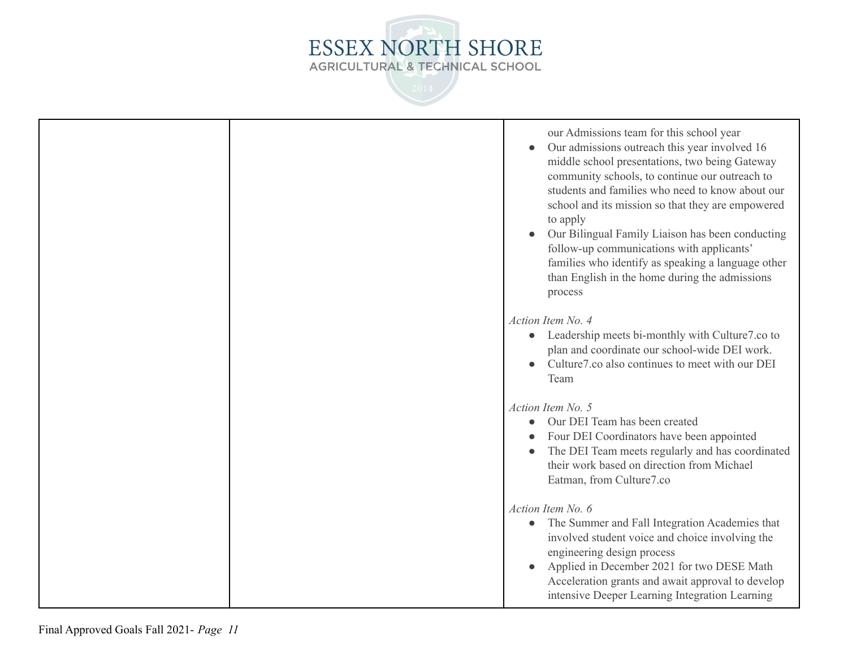

|  | our Admissions team for this school year<br>Our admissions outreach this year involved 16<br>middle school presentations, two being Gateway<br>community schools, to continue our outreach to<br>students and families who need to know about our<br>school and its mission so that they are empowered<br>to apply<br>Our Bilingual Family Liaison has been conducting<br>follow-up communications with applicants'<br>families who identify as speaking a language other<br>than English in the home during the admissions<br>process |
|--|----------------------------------------------------------------------------------------------------------------------------------------------------------------------------------------------------------------------------------------------------------------------------------------------------------------------------------------------------------------------------------------------------------------------------------------------------------------------------------------------------------------------------------------|
|  | Action Item No. 4<br>Leadership meets bi-monthly with Culture7.co to<br>plan and coordinate our school-wide DEI work.<br>Culture7.co also continues to meet with our DEI<br>Team                                                                                                                                                                                                                                                                                                                                                       |
|  | Action Item No. 5<br>Our DEI Team has been created<br>Four DEI Coordinators have been appointed<br>The DEI Team meets regularly and has coordinated<br>their work based on direction from Michael<br>Eatman, from Culture7.co                                                                                                                                                                                                                                                                                                          |
|  | Action Item No. 6<br>The Summer and Fall Integration Academies that<br>$\bullet$<br>involved student voice and choice involving the<br>engineering design process<br>Applied in December 2021 for two DESE Math<br>Acceleration grants and await approval to develop<br>intensive Deeper Learning Integration Learning                                                                                                                                                                                                                 |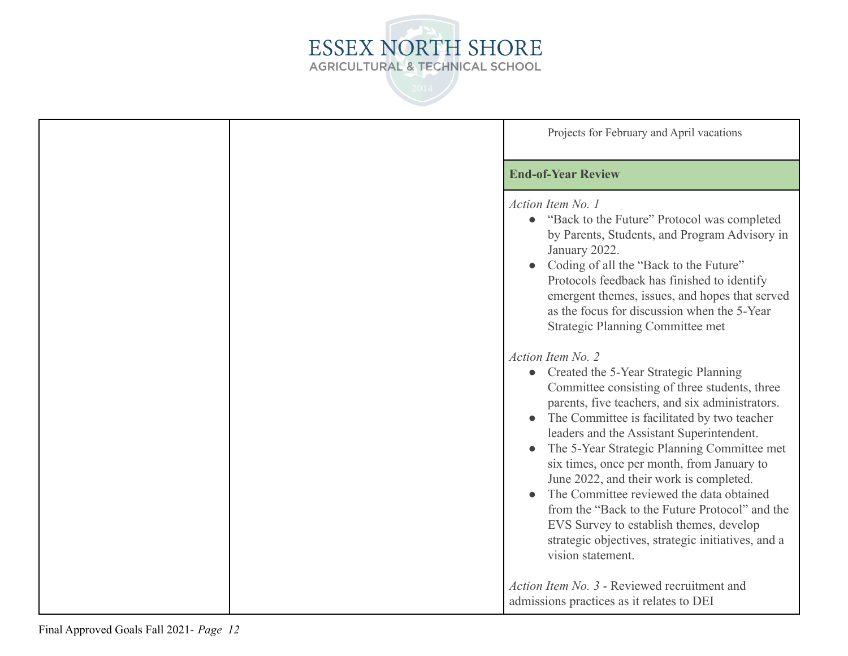

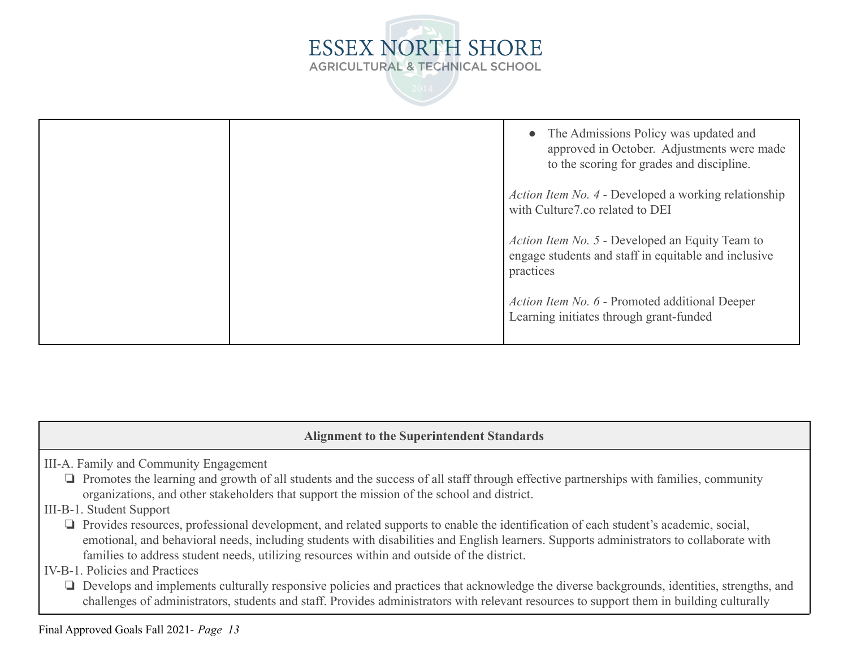

|  | • The Admissions Policy was updated and<br>approved in October. Adjustments were made<br>to the scoring for grades and discipline. |
|--|------------------------------------------------------------------------------------------------------------------------------------|
|  | <i>Action Item No. 4 - Developed a working relationship</i><br>with Culture7.co related to DEI                                     |
|  | <i>Action Item No. 5 - Developed an Equity Team to</i><br>engage students and staff in equitable and inclusive<br>practices        |
|  | Action Item No. 6 - Promoted additional Deeper<br>Learning initiates through grant-funded                                          |

|  |  | <b>Alignment to the Superintendent Standards</b> |  |
|--|--|--------------------------------------------------|--|
|--|--|--------------------------------------------------|--|

III-A. Family and Community Engagement

- ❏ Promotes the learning and growth of all students and the success of all staff through effective partnerships with families, community organizations, and other stakeholders that support the mission of the school and district.
- III-B-1. Student Support
	- ❏ Provides resources, professional development, and related supports to enable the identification of each student's academic, social, emotional, and behavioral needs, including students with disabilities and English learners. Supports administrators to collaborate with families to address student needs, utilizing resources within and outside of the district.
- IV-B-1. Policies and Practices
	- ❏ Develops and implements culturally responsive policies and practices that acknowledge the diverse backgrounds, identities, strengths, and challenges of administrators, students and staff. Provides administrators with relevant resources to support them in building culturally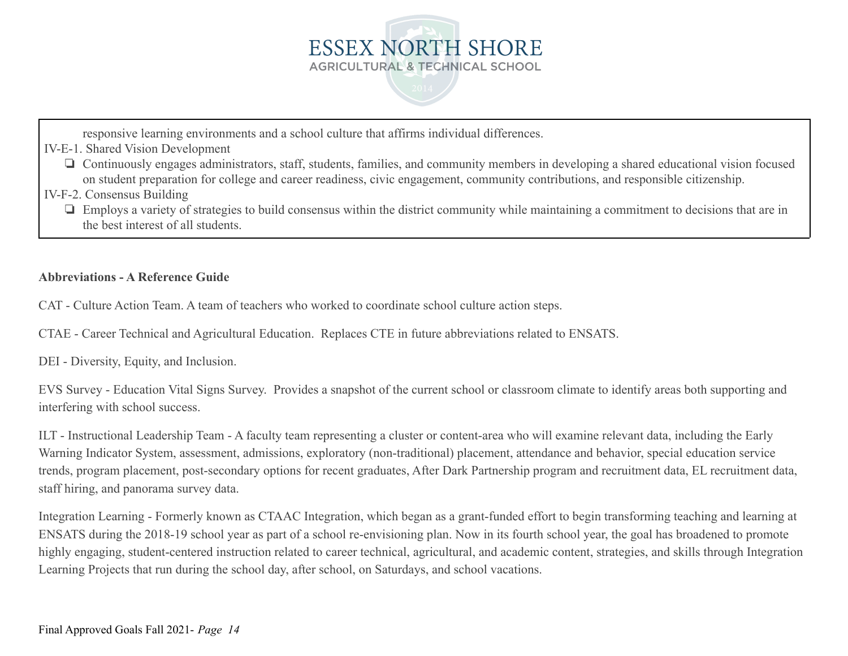

responsive learning environments and a school culture that affirms individual differences.

IV-E-1. Shared Vision Development

- ❏ Continuously engages administrators, staff, students, families, and community members in developing a shared educational vision focused on student preparation for college and career readiness, civic engagement, community contributions, and responsible citizenship.
- IV-F-2. Consensus Building
	- ❏ Employs a variety of strategies to build consensus within the district community while maintaining a commitment to decisions that are in the best interest of all students.

### **Abbreviations - A Reference Guide**

CAT - Culture Action Team. A team of teachers who worked to coordinate school culture action steps.

CTAE - Career Technical and Agricultural Education. Replaces CTE in future abbreviations related to ENSATS.

DEI - Diversity, Equity, and Inclusion.

EVS Survey - Education Vital Signs Survey. Provides a snapshot of the current school or classroom climate to identify areas both supporting and interfering with school success.

ILT - Instructional Leadership Team - A faculty team representing a cluster or content-area who will examine relevant data, including the Early Warning Indicator System, assessment, admissions, exploratory (non-traditional) placement, attendance and behavior, special education service trends, program placement, post-secondary options for recent graduates, After Dark Partnership program and recruitment data, EL recruitment data, staff hiring, and panorama survey data.

Integration Learning - Formerly known as CTAAC Integration, which began as a grant-funded effort to begin transforming teaching and learning at ENSATS during the 2018-19 school year as part of a school re-envisioning plan. Now in its fourth school year, the goal has broadened to promote highly engaging, student-centered instruction related to career technical, agricultural, and academic content, strategies, and skills through Integration Learning Projects that run during the school day, after school, on Saturdays, and school vacations.